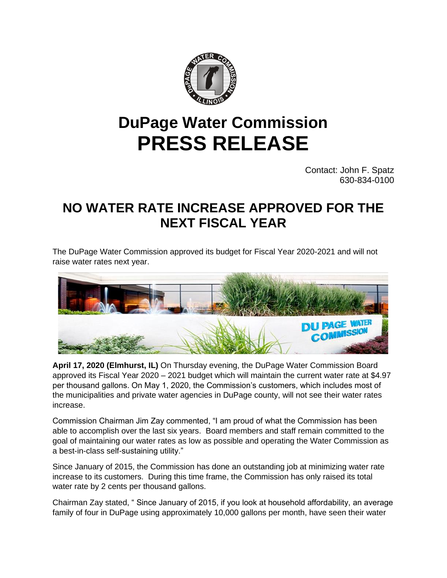

## **DuPage Water Commission PRESS RELEASE**

 Contact: John F. Spatz 630-834-0100

## **NO WATER RATE INCREASE APPROVED FOR THE NEXT FISCAL YEAR**

The DuPage Water Commission approved its budget for Fiscal Year 2020-2021 and will not raise water rates next year.



**April 17, 2020 (Elmhurst, IL)** On Thursday evening, the DuPage Water Commission Board approved its Fiscal Year 2020 – 2021 budget which will maintain the current water rate at \$4.97 per thousand gallons. On May 1, 2020, the Commission's customers, which includes most of the municipalities and private water agencies in DuPage county, will not see their water rates increase.

Commission Chairman Jim Zay commented, "I am proud of what the Commission has been able to accomplish over the last six years. Board members and staff remain committed to the goal of maintaining our water rates as low as possible and operating the Water Commission as a best-in-class self-sustaining utility."

Since January of 2015, the Commission has done an outstanding job at minimizing water rate increase to its customers. During this time frame, the Commission has only raised its total water rate by 2 cents per thousand gallons.

Chairman Zay stated, " Since January of 2015, if you look at household affordability, an average family of four in DuPage using approximately 10,000 gallons per month, have seen their water